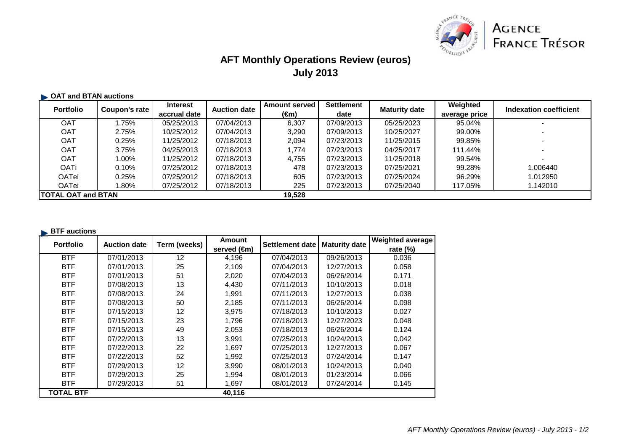

# **AFT Monthly Operations Review (euros)July 2013**

### **OAT and BTAN auctions**

| <b>Portfolio</b>           | Coupon's rate | <b>Interest</b> | <b>Auction date</b> | <b>Amount served</b> | <b>Settlement</b> | <b>Maturity date</b> | Weighted      | Indexation coefficient |
|----------------------------|---------------|-----------------|---------------------|----------------------|-------------------|----------------------|---------------|------------------------|
|                            |               | accrual date    |                     | (€m)                 | date              |                      | average price |                        |
| <b>OAT</b>                 | .75%          | 05/25/2013      | 07/04/2013          | 6,307                | 07/09/2013        | 05/25/2023           | 95.04%        |                        |
| <b>OAT</b>                 | 2.75%         | 10/25/2012      | 07/04/2013          | 3.290                | 07/09/2013        | 10/25/2027           | 99.00%        |                        |
| <b>OAT</b>                 | 0.25%         | 11/25/2012      | 07/18/2013          | 2.094                | 07/23/2013        | 11/25/2015           | 99.85%        |                        |
| <b>OAT</b>                 | 3.75%         | 04/25/2013      | 07/18/2013          | 1.774                | 07/23/2013        | 04/25/2017           | 111.44%       |                        |
| <b>OAT</b>                 | l.00%         | 11/25/2012      | 07/18/2013          | 4.755                | 07/23/2013        | 11/25/2018           | 99.54%        |                        |
| <b>OATi</b>                | 0.10%         | 07/25/2012      | 07/18/2013          | 478                  | 07/23/2013        | 07/25/2021           | 99.28%        | 1.006440               |
| OATei                      | 0.25%         | 07/25/2012      | 07/18/2013          | 605                  | 07/23/2013        | 07/25/2024           | 96.29%        | 1.012950               |
| OATei                      | $.80\%$       | 07/25/2012      | 07/18/2013          | 225                  | 07/23/2013        | 07/25/2040           | 117.05%       | 1.142010               |
| <b>ITOTAL OAT and BTAN</b> |               |                 |                     | 19,528               |                   |                      |               |                        |

### **BTF** auctions

| <b>Portfolio</b> | <b>Auction date</b> | Term (weeks) | <b>Amount</b> | Settlement date | <b>Maturity date</b> | <b>Weighted average</b> |
|------------------|---------------------|--------------|---------------|-----------------|----------------------|-------------------------|
|                  |                     |              | served (€m)   |                 |                      | rate $(\%)$             |
| <b>BTF</b>       | 07/01/2013          | 12           | 4,196         | 07/04/2013      | 09/26/2013           | 0.036                   |
| <b>BTF</b>       | 07/01/2013          | 25           | 2,109         | 07/04/2013      | 12/27/2013           | 0.058                   |
| <b>BTF</b>       | 07/01/2013          | 51           | 2,020         | 07/04/2013      | 06/26/2014           | 0.171                   |
| <b>BTF</b>       | 07/08/2013          | 13           | 4,430         | 07/11/2013      | 10/10/2013           | 0.018                   |
| <b>BTF</b>       | 07/08/2013          | 24           | 1,991         | 07/11/2013      | 12/27/2013           | 0.038                   |
| <b>BTF</b>       | 07/08/2013          | 50           | 2,185         | 07/11/2013      | 06/26/2014           | 0.098                   |
| <b>BTF</b>       | 07/15/2013          | 12           | 3,975         | 07/18/2013      | 10/10/2013           | 0.027                   |
| <b>BTF</b>       | 07/15/2013          | 23           | 1,796         | 07/18/2013      | 12/27/2023           | 0.048                   |
| <b>BTF</b>       | 07/15/2013          | 49           | 2,053         | 07/18/2013      | 06/26/2014           | 0.124                   |
| <b>BTF</b>       | 07/22/2013          | 13           | 3,991         | 07/25/2013      | 10/24/2013           | 0.042                   |
| <b>BTF</b>       | 07/22/2013          | 22           | 1,697         | 07/25/2013      | 12/27/2013           | 0.067                   |
| <b>BTF</b>       | 07/22/2013          | 52           | 1,992         | 07/25/2013      | 07/24/2014           | 0.147                   |
| <b>BTF</b>       | 07/29/2013          | 12           | 3,990         | 08/01/2013      | 10/24/2013           | 0.040                   |
| <b>BTF</b>       | 07/29/2013          | 25           | 1,994         | 08/01/2013      | 01/23/2014           | 0.066                   |
| <b>BTF</b>       | 07/29/2013          | 51           | 1,697         | 08/01/2013      | 07/24/2014           | 0.145                   |
| <b>TOTAL BTF</b> |                     |              | 40,116        |                 |                      |                         |